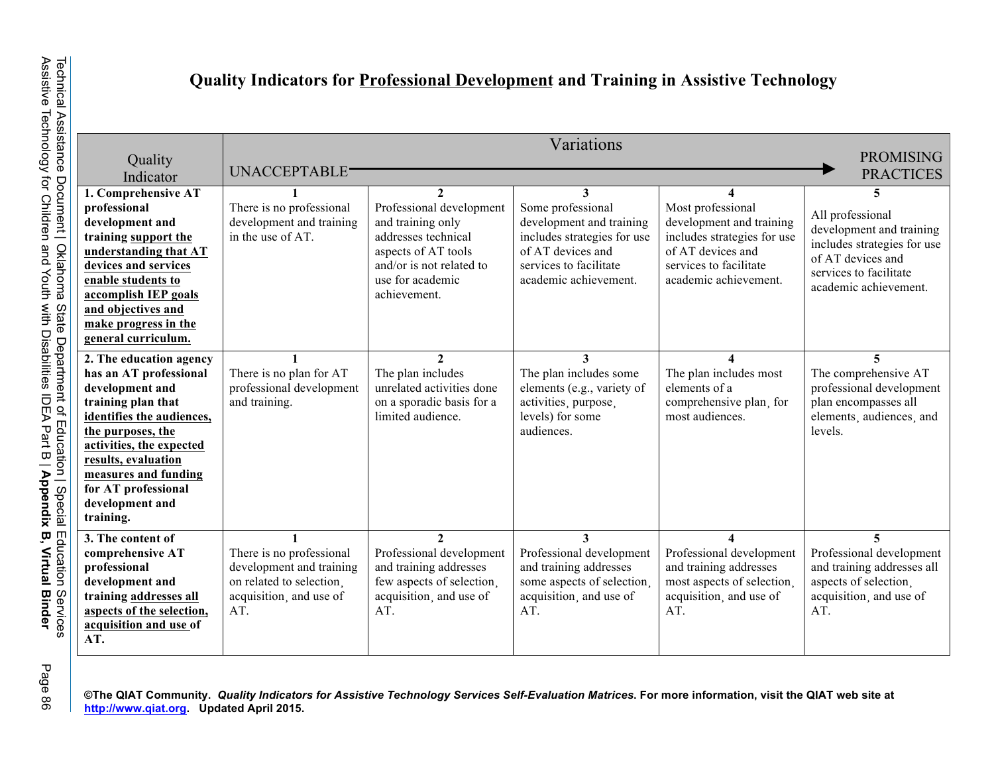## **Quality Indicators for Professional Development and Training in Assistive Technology**

|                                           | Variations                                          |                                                |                                                         |                                                         |                                                  |  |  |  |  |
|-------------------------------------------|-----------------------------------------------------|------------------------------------------------|---------------------------------------------------------|---------------------------------------------------------|--------------------------------------------------|--|--|--|--|
| Quality                                   | <b>PROMISING</b>                                    |                                                |                                                         |                                                         |                                                  |  |  |  |  |
| Indicator                                 | UNACCEPTABLE <sup>-</sup><br><b>PRACTICES</b>       |                                                |                                                         |                                                         |                                                  |  |  |  |  |
| 1. Comprehensive AT                       |                                                     | $\mathcal{L}$                                  |                                                         |                                                         | 5                                                |  |  |  |  |
| professional                              | There is no professional                            | Professional development                       | Some professional                                       | Most professional                                       | All professional                                 |  |  |  |  |
| development and<br>training support the   | development and training<br>in the use of AT.       | and training only<br>addresses technical       | development and training<br>includes strategies for use | development and training<br>includes strategies for use | development and training                         |  |  |  |  |
| understanding that AT                     |                                                     | aspects of AT tools                            | of AT devices and                                       | of AT devices and                                       | includes strategies for use                      |  |  |  |  |
| devices and services                      |                                                     | and/or is not related to                       | services to facilitate                                  | services to facilitate                                  | of AT devices and                                |  |  |  |  |
| enable students to                        |                                                     | use for academic                               | academic achievement.                                   | academic achievement.                                   | services to facilitate<br>academic achievement.  |  |  |  |  |
| accomplish IEP goals                      |                                                     | achievement.                                   |                                                         |                                                         |                                                  |  |  |  |  |
| and objectives and                        |                                                     |                                                |                                                         |                                                         |                                                  |  |  |  |  |
| make progress in the                      |                                                     |                                                |                                                         |                                                         |                                                  |  |  |  |  |
| general curriculum.                       |                                                     |                                                |                                                         |                                                         |                                                  |  |  |  |  |
| 2. The education agency                   |                                                     | $\mathcal{L}$                                  | 3                                                       |                                                         | $\overline{\mathbf{5}}$                          |  |  |  |  |
| has an AT professional<br>development and | There is no plan for AT<br>professional development | The plan includes<br>unrelated activities done | The plan includes some<br>elements (e.g., variety of    | The plan includes most<br>elements of a                 | The comprehensive AT<br>professional development |  |  |  |  |
| training plan that                        | and training.                                       | on a sporadic basis for a                      | activities, purpose,                                    | comprehensive plan, for                                 | plan encompasses all                             |  |  |  |  |
| identifies the audiences,                 |                                                     | limited audience.                              | levels) for some                                        | most audiences.                                         | elements, audiences, and                         |  |  |  |  |
| the purposes, the                         |                                                     |                                                | audiences.                                              |                                                         | levels.                                          |  |  |  |  |
| activities, the expected                  |                                                     |                                                |                                                         |                                                         |                                                  |  |  |  |  |
| results, evaluation                       |                                                     |                                                |                                                         |                                                         |                                                  |  |  |  |  |
| measures and funding                      |                                                     |                                                |                                                         |                                                         |                                                  |  |  |  |  |
| for AT professional                       |                                                     |                                                |                                                         |                                                         |                                                  |  |  |  |  |
| development and<br>training.              |                                                     |                                                |                                                         |                                                         |                                                  |  |  |  |  |
|                                           |                                                     | $\overline{2}$                                 | 3                                                       |                                                         | 5                                                |  |  |  |  |
| 3. The content of<br>comprehensive AT     | There is no professional                            | Professional development                       | Professional development                                | Professional development                                | Professional development                         |  |  |  |  |
| professional                              | development and training                            | and training addresses                         | and training addresses                                  | and training addresses                                  | and training addresses all                       |  |  |  |  |
| development and                           | on related to selection.                            | few aspects of selection.                      | some aspects of selection.                              | most aspects of selection.                              | aspects of selection.                            |  |  |  |  |
| training addresses all                    | acquisition, and use of                             | acquisition, and use of                        | acquisition, and use of                                 | acquisition, and use of                                 | acquisition, and use of                          |  |  |  |  |
| aspects of the selection,                 | AT.                                                 | AT.                                            | AT.                                                     | AT.                                                     | AT.                                              |  |  |  |  |
| acquisition and use of                    |                                                     |                                                |                                                         |                                                         |                                                  |  |  |  |  |
| AT.                                       |                                                     |                                                |                                                         |                                                         |                                                  |  |  |  |  |

Page 86**©The QIAT Community.** *Quality Indicators for Assistive Technology Services Self-Evaluation Matrices***. For more information, visit the QIAT web site at http://www.qiat.org. Updated April 2015.**